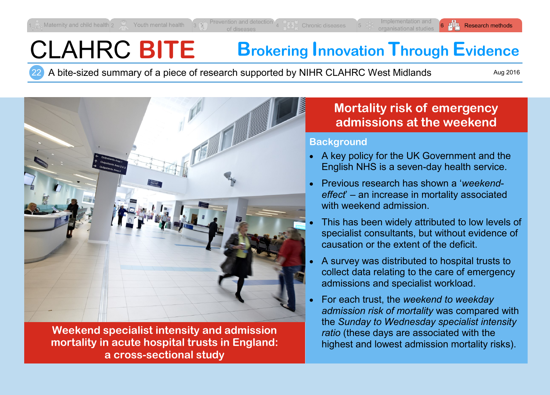# CLAHRC **BITE Brokering Innovation Through Evidence**

22 A bite-sized summary of a piece of research supported by NIHR CLAHRC West Midlands

Aug 2016



**Weekend specialist intensity and admission mortality in acute hospital trusts in England: a cross-sectional study**

## **Mortality risk of emergency admissions at the weekend**

#### **Background**

- A key policy for the UK Government and the English NHS is a seven-day health service.
- Previous research has shown a '*weekendeffect*' – an increase in mortality associated with weekend admission.
- This has been widely attributed to low levels of specialist consultants, but without evidence of causation or the extent of the deficit.
- A survey was distributed to hospital trusts to collect data relating to the care of emergency admissions and specialist workload.
- For each trust, the *weekend to weekday admission risk of mortality* was compared with the *Sunday to Wednesday specialist intensity ratio* (these days are associated with the highest and lowest admission mortality risks).